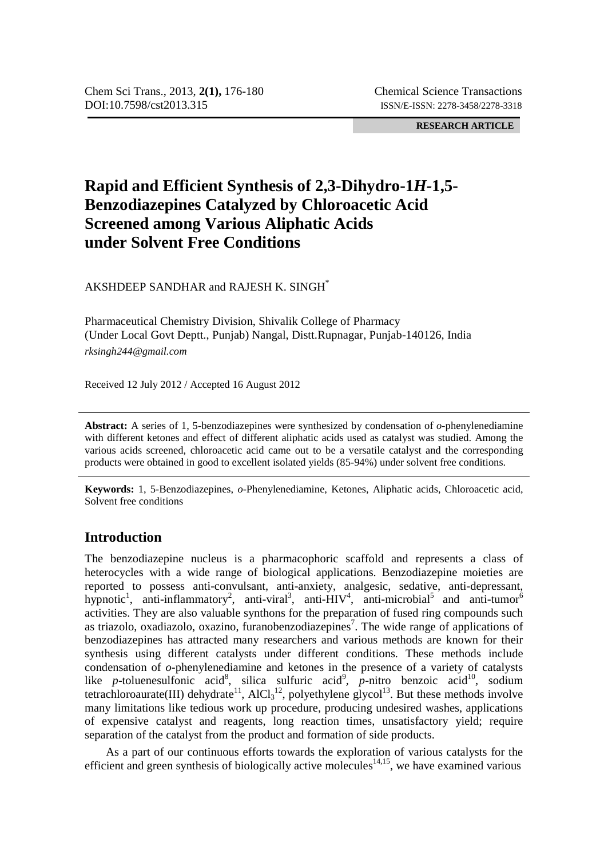**RESEARCH ARTICLE**

# **Rapid and Efficient Synthesis of 2,3-Dihydro-1***H-***1,5- Benzodiazepines Catalyzed by Chloroacetic Acid Screened among Various Aliphatic Acids under Solvent Free Conditions**

AKSHDEEP SANDHAR and RAJESH K. SINGH\*

Pharmaceutical Chemistry Division, Shivalik College of Pharmacy (Under Local Govt Deptt., Punjab) Nangal, Distt.Rupnagar, Punjab-140126, India *rksingh244@gmail.com*

Received 12 July 2012 / Accepted 16 August 2012

**Abstract:** A series of 1, 5-benzodiazepines were synthesized by condensation of *o*-phenylenediamine with different ketones and effect of different aliphatic acids used as catalyst was studied. Among the various acids screened, chloroacetic acid came out to be a versatile catalyst and the corresponding products were obtained in good to excellent isolated yields (85-94%) under solvent free conditions.

**Keywords:** 1, 5-Benzodiazepines, *o*-Phenylenediamine, Ketones, Aliphatic acids, Chloroacetic acid, Solvent free conditions

# **Introduction**

The benzodiazepine nucleus is a pharmacophoric scaffold and represents a class of heterocycles with a wide range of biological applications. Benzodiazepine moieties are reported to possess anti-convulsant, anti-anxiety, analgesic, sedative, anti-depressant, hypnotic<sup>1</sup>, anti-inflammatory<sup>2</sup>, anti-viral<sup>3</sup>, anti-HIV<sup>4</sup>, anti-microbial<sup>5</sup> and anti-tumor<sup>6</sup> activities. They are also valuable synthons for the preparation of fused ring compounds such as triazolo, oxadiazolo, oxazino, furanobenzodiazepines<sup>7</sup>. The wide range of applications of benzodiazepines has attracted many researchers and various methods are known for their synthesis using different catalysts under different conditions. These methods include condensation of *o-*phenylenediamine and ketones in the presence of a variety of catalysts like *p*-toluenesulfonic acid<sup>8</sup>, silica sulfuric acid<sup>9</sup>, *p*-nitro benzoic acid<sup>10</sup>, sodium tetrachloroaurate(III) dehydrate<sup>11</sup>, AlCl<sub>3</sub><sup>12</sup>, polyethylene glycol<sup>13</sup>. But these methods involve many limitations like tedious work up procedure, producing undesired washes, applications of expensive catalyst and reagents, long reaction times, unsatisfactory yield; require separation of the catalyst from the product and formation of side products.

As a part of our continuous efforts towards the exploration of various catalysts for the efficient and green synthesis of biologically active molecules<sup>14,15</sup>, we have examined various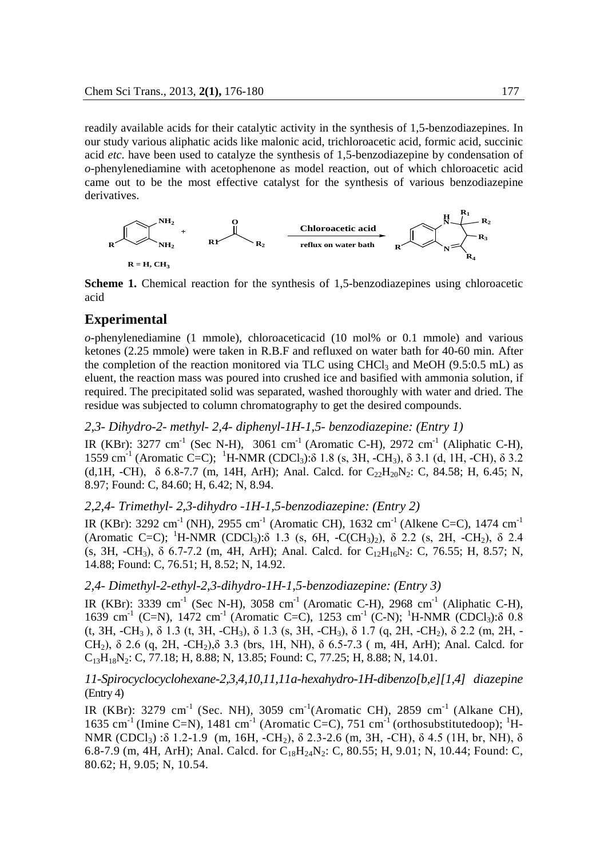readily available acids for their catalytic activity in the synthesis of 1,5-benzodiazepines. In our study various aliphatic acids like malonic acid, trichloroacetic acid, formic acid, succinic acid *etc*. have been used to catalyze the synthesis of 1,5-benzodiazepine by condensation of *o*-phenylenediamine with acetophenone as model reaction, out of which chloroacetic acid came out to be the most effective catalyst for the synthesis of various benzodiazepine derivatives.



**Scheme 1.** Chemical reaction for the synthesis of 1,5-benzodiazepines using chloroacetic acid

#### **Experimental**

*o-*phenylenediamine (1 mmole), chloroaceticacid (10 mol% or 0.1 mmole) and various ketones (2.25 mmole) were taken in R.B.F and refluxed on water bath for 40-60 min. After the completion of the reaction monitored via TLC using  $CHCl<sub>3</sub>$  and MeOH (9.5:0.5 mL) as eluent, the reaction mass was poured into crushed ice and basified with ammonia solution, if required. The precipitated solid was separated, washed thoroughly with water and dried. The residue was subjected to column chromatography to get the desired compounds.

*2,3- Dihydro-2- methyl- 2,4- diphenyl-1H-1,5- benzodiazepine: (Entry 1)*

IR (KBr): 3277 cm<sup>-1</sup> (Sec N-H), 3061 cm<sup>-1</sup> (Aromatic C-H), 2972 cm<sup>-1</sup> (Aliphatic C-H), 1559 cm<sup>-1</sup> (Aromatic C=C); <sup>1</sup>H-NMR (CDCl<sub>3</sub>):δ 1.8 (s, 3H, -CH<sub>3</sub>), δ 3.1 (d, 1H, -CH), δ 3.2 (d, 1H, -CH),  $\delta$  6.8-7.7 (m, 14H, ArH); Anal. Calcd. for C<sub>22</sub>H<sub>20</sub>N<sub>2</sub>: C, 84.58; H, 6.45; N, 8.97; Found: C, 84.60; H, 6.42; N, 8.94.

## *2,2,4- Trimethyl- 2,3-dihydro -1H-1,5-benzodiazepine: (Entry 2)*

IR (KBr): 3292 cm-1 (NH), 2955 cm-1 (Aromatic CH), 1632 cm-1 (Alkene C=C), 1474 cm-1 (Aromatic C=C); <sup>1</sup>H-NMR (CDCl<sub>3</sub>): $\delta$  1.3 (s, 6H, -C(CH<sub>3</sub>)<sub>2</sub>),  $\delta$  2.2 (s, 2H, -CH<sub>2</sub>),  $\delta$  2.4 (s, 3H, -CH<sub>3</sub>),  $\delta$  6.7-7.2 (m, 4H, ArH); Anal. Calcd. for C<sub>12</sub>H<sub>16</sub>N<sub>2</sub>: C, 76.55; H, 8.57; N, 14.88; Found: C, 76.51; H, 8.52; N, 14.92.

#### *2,4- Dimethyl-2-ethyl-2,3-dihydro-1H-1,5-benzodiazepine: (Entry 3)*

IR (KBr): 3339 cm-1 (Sec N-H), 3058 cm-1 (Aromatic C-H), 2968 cm-1 (Aliphatic C-H), 1639 cm<sup>-1</sup> (C=N), 1472 cm<sup>-1</sup> (Aromatic C=C), 1253 cm<sup>-1</sup> (C-N); <sup>1</sup>H-NMR (CDCl<sub>3</sub>):δ 0.8 (t, 3H, -CH<sub>3</sub>),  $\delta$  1.3 (t, 3H, -CH<sub>3</sub>),  $\delta$  1.3 (s, 3H, -CH<sub>3</sub>),  $\delta$  1.7 (g, 2H, -CH<sub>2</sub>),  $\delta$  2.2 (m, 2H, -CH<sub>2</sub>),  $\delta$  2.6 (q, 2H, -CH<sub>2</sub>), $\delta$  3.3 (brs, 1H, NH),  $\delta$  6.5-7.3 (m, 4H, ArH); Anal. Calcd. for  $C_{13}H_{18}N_2$ : C, 77.18; H, 8.88; N, 13.85; Found: C, 77.25; H, 8.88; N, 14.01.

## *11-Spirocyclocyclohexane-2,3,4,10,11,11a-hexahydro-1H-dibenzo[b,e][1,4] diazepine* (Entry 4)

IR (KBr): 3279 cm<sup>-1</sup> (Sec. NH), 3059 cm<sup>-1</sup> (Aromatic CH), 2859 cm<sup>-1</sup> (Alkane CH), 1635 cm<sup>-1</sup> (Imine C=N), 1481 cm<sup>-1</sup> (Aromatic C=C), 751 cm<sup>-1</sup> (orthosubstitutedoop); <sup>1</sup>H-NMR (CDCl<sub>3</sub>) :δ 1.2-1.9 (m, 16H, -CH<sub>2</sub>), δ 2.3-2.6 (m, 3H, -CH), δ 4.5 (1H, br, NH), δ 6.8-7.9 (m, 4H, ArH); Anal. Calcd. for  $C_{18}H_{24}N_2$ : C, 80.55; H, 9.01; N, 10.44; Found: C, 80.62; H, 9.05; N, 10.54.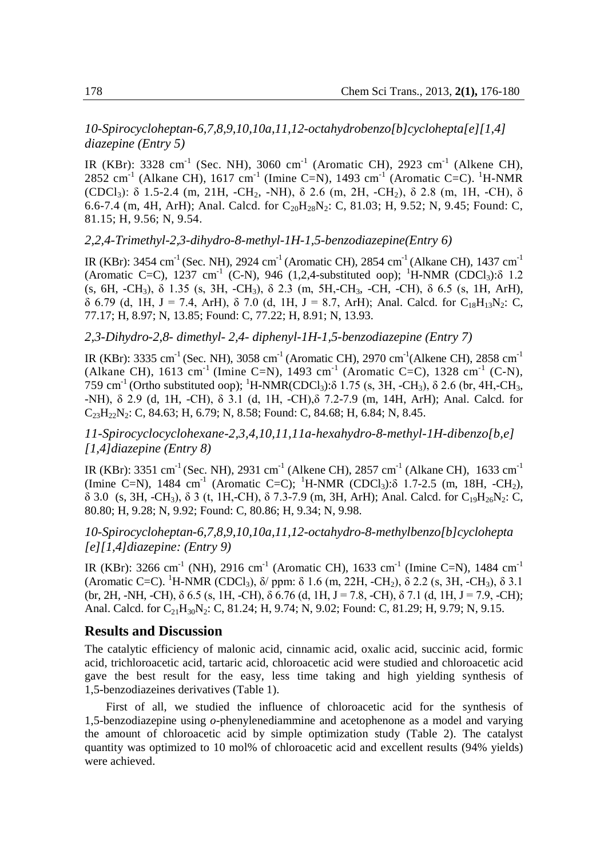*10-Spirocycloheptan-6,7,8,9,10,10a,11,12-octahydrobenzo[b]cyclohepta[e][1,4] diazepine (Entry 5)*

IR (KBr): 3328 cm<sup>-1</sup> (Sec. NH), 3060 cm<sup>-1</sup> (Aromatic CH), 2923 cm<sup>-1</sup> (Alkene CH), 2852 cm<sup>-1</sup> (Alkane CH), 1617 cm<sup>-1</sup> (Imine C=N), 1493 cm<sup>-1</sup> (Aromatic C=C). <sup>1</sup>H-NMR  $(CDC1_3)$ : δ 1.5-2.4 (m, 21H, -CH<sub>2</sub>, -NH), δ 2.6 (m, 2H, -CH<sub>2</sub>), δ 2.8 (m, 1H, -CH), δ 6.6-7.4 (m, 4H, ArH); Anal. Calcd. for  $C_{20}H_{28}N_2$ : C, 81.03; H, 9.52; N, 9.45; Found: C, 81.15; H, 9.56; N, 9.54.

*2,2,4-Trimethyl-2,3-dihydro-8-methyl-1H-1,5-benzodiazepine(Entry 6)*

IR (KBr): 3454 cm<sup>-1</sup> (Sec. NH), 2924 cm<sup>-1</sup> (Aromatic CH), 2854 cm<sup>-1</sup> (Alkane CH), 1437 cm<sup>-1</sup> (Aromatic C=C), 1237 cm<sup>-1</sup> (C-N), 946 (1,2,4-substituted oop); <sup>1</sup>H-NMR (CDCl<sub>3</sub>): $\delta$  1.2 (s, 6H, -CH3), δ 1.35 (s, 3H, -CH3), δ 2.3 (m, 5H,-CH3, -CH, -CH), δ 6.5 (s, 1H, ArH), δ 6.79 (d, 1H, J = 7.4, ArH), δ 7.0 (d, 1H, J = 8.7, ArH); Anal. Calcd. for C<sub>18</sub>H<sub>13</sub>N<sub>2</sub>: C, 77.17; H, 8.97; N, 13.85; Found: C, 77.22; H, 8.91; N, 13.93.

*2,3-Dihydro-2,8- dimethyl- 2,4- diphenyl-1H-1,5-benzodiazepine (Entry 7)*

IR (KBr): 3335 cm<sup>-1</sup> (Sec. NH), 3058 cm<sup>-1</sup> (Aromatic CH), 2970 cm<sup>-1</sup> (Alkene CH), 2858 cm<sup>-1</sup> (Alkane CH), 1613 cm-1 (Imine C=N), 1493 cm-1 (Aromatic C=C), 1328 cm-1 (C-N), 759 cm<sup>-1</sup> (Ortho substituted oop); <sup>1</sup>H-NMR(CDCl<sub>3</sub>):δ 1.75 (s, 3H, -CH<sub>3</sub>), δ 2.6 (br, 4H,-CH<sub>3</sub>, -NH), δ 2.9 (d, 1H, -CH), δ 3.1 (d, 1H, -CH),δ 7.2-7.9 (m, 14H, ArH); Anal. Calcd. for  $C_{23}H_{22}N_2$ : C, 84.63; H, 6.79; N, 8.58; Found: C, 84.68; H, 6.84; N, 8.45.

*11-Spirocyclocyclohexane-2,3,4,10,11,11a-hexahydro-8-methyl-1H-dibenzo[b,e] [1,4]diazepine (Entry 8)*

IR (KBr): 3351 cm<sup>-1</sup> (Sec. NH), 2931 cm<sup>-1</sup> (Alkene CH), 2857 cm<sup>-1</sup> (Alkane CH), 1633 cm<sup>-1</sup> (Imine C=N), 1484 cm<sup>-1</sup> (Aromatic C=C); <sup>1</sup>H-NMR (CDCl<sub>3</sub>): $\delta$  1.7-2.5 (m, 18H, -CH<sub>2</sub>),  $δ$  3.0 (s, 3H, -CH<sub>3</sub>),  $δ$  3 (t, 1H,-CH),  $δ$  7.3-7.9 (m, 3H, ArH); Anal. Calcd. for C<sub>19</sub>H<sub>26</sub>N<sub>2</sub>: C, 80.80; H, 9.28; N, 9.92; Found: C, 80.86; H, 9.34; N, 9.98.

# *10-Spirocycloheptan-6,7,8,9,10,10a,11,12-octahydro-8-methylbenzo[b]cyclohepta [e][1,4]diazepine: (Entry 9)*

IR (KBr): 3266 cm<sup>-1</sup> (NH), 2916 cm<sup>-1</sup> (Aromatic CH), 1633 cm<sup>-1</sup> (Imine C=N), 1484 cm<sup>-1</sup> (Aromatic C=C). <sup>1</sup>H-NMR (CDCl<sub>3</sub>),  $\delta$ / ppm: δ 1.6 (m, 22H, -CH<sub>2</sub>), δ 2.2 (s, 3H, -CH<sub>3</sub>), δ 3.1 (br, 2H, -NH, -CH),  $\delta$  6.5 (s, 1H, -CH),  $\delta$  6.76 (d, 1H, J = 7.8, -CH),  $\delta$  7.1 (d, 1H, J = 7.9, -CH); Anal. Calcd. for  $C_{21}H_{30}N_2$ : C, 81.24; H, 9.74; N, 9.02; Found: C, 81.29; H, 9.79; N, 9.15.

#### **Results and Discussion**

The catalytic efficiency of malonic acid, cinnamic acid, oxalic acid, succinic acid, formic acid, trichloroacetic acid, tartaric acid, chloroacetic acid were studied and chloroacetic acid gave the best result for the easy, less time taking and high yielding synthesis of 1,5-benzodiazeines derivatives (Table 1).

First of all, we studied the influence of chloroacetic acid for the synthesis of 1,5-benzodiazepine using *o*-phenylenediammine and acetophenone as a model and varying the amount of chloroacetic acid by simple optimization study (Table 2). The catalyst quantity was optimized to 10 mol% of chloroacetic acid and excellent results (94% yields) were achieved.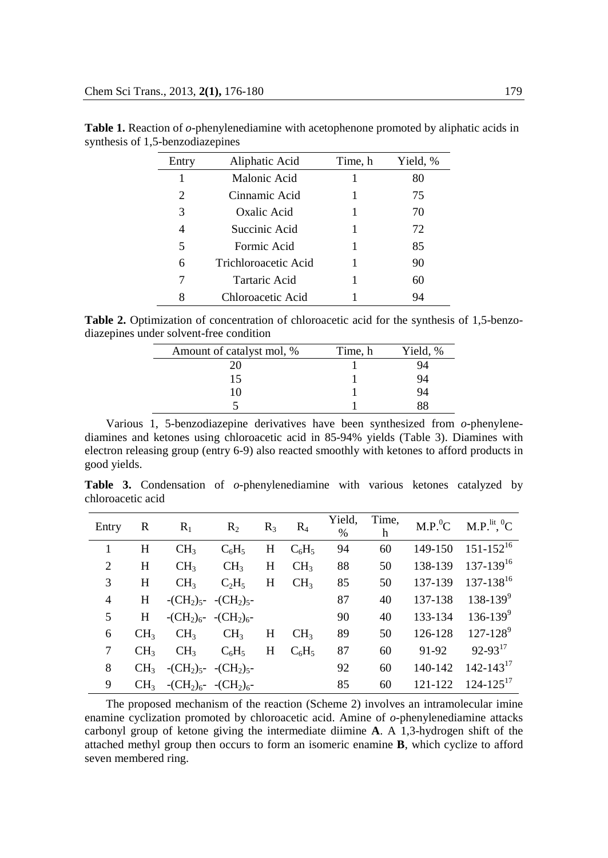| Entry          | Aliphatic Acid       | Time, h | Yield, % |
|----------------|----------------------|---------|----------|
| 1              | Malonic Acid         |         | 80       |
| $\mathfrak{D}$ | Cinnamic Acid        |         | 75       |
| 3              | Oxalic Acid          |         | 70       |
| 4              | Succinic Acid        |         | 72       |
| 5              | Formic Acid          |         | 85       |
| 6              | Trichloroacetic Acid |         | 90       |
| 7              | Tartaric Acid        |         | 60       |
| 8              | Chloroacetic Acid    |         | 94       |

**Table 1.** Reaction of *o*-phenylenediamine with acetophenone promoted by aliphatic acids in synthesis of 1,5-benzodiazepines

**Table 2.** Optimization of concentration of chloroacetic acid for the synthesis of 1,5-benzodiazepines under solvent-free condition

| Amount of catalyst mol, % | Time, h | Yield, % |
|---------------------------|---------|----------|
|                           |         |          |
| 15                        |         | 94       |
| 10                        |         | 94       |
|                           |         |          |

Various 1, 5-benzodiazepine derivatives have been synthesized from *o*-phenylenediamines and ketones using chloroacetic acid in 85-94% yields (Table 3). Diamines with electron releasing group (entry 6-9) also reacted smoothly with ketones to afford products in good yields.

**Table 3.** Condensation of *o-*phenylenediamine with various ketones catalyzed by chloroacetic acid

| Entry | R               | $R_1$                                         | $R_2$                                         | $R_3$ | $R_4$           | Yield,<br>$\%$ | Time,<br>h |         | $M.P.0C$ $M.P.lit 0C$ |
|-------|-----------------|-----------------------------------------------|-----------------------------------------------|-------|-----------------|----------------|------------|---------|-----------------------|
|       | H               | CH <sub>3</sub>                               | $C_6H_5$                                      | H     | $C_6H_5$        | 94             | 60         | 149-150 | $151 - 152^{16}$      |
| 2     | H               | CH <sub>3</sub>                               | CH <sub>3</sub>                               | Н     | CH <sub>3</sub> | 88             | 50         | 138-139 | $137 - 139^{16}$      |
| 3     | H               | CH <sub>3</sub>                               | $C_2H_5$                                      | Η     | CH <sub>3</sub> | 85             | 50         | 137-139 | $137 - 138^{16}$      |
| 4     | H               |                                               | $-CH_2$ <sub>5</sub> - $-CH_2$ <sub>5</sub> - |       |                 | 87             | 40         | 137-138 | $138 - 139^{9}$       |
| 5     | H               | $-(CH2)6 - (CH2)6$                            |                                               |       |                 | 90             | 40         | 133-134 | $136 - 139^9$         |
| 6     | CH <sub>3</sub> | CH <sub>3</sub>                               | CH <sub>3</sub>                               | Н     | CH <sub>3</sub> | 89             | 50         | 126-128 | $127 - 128^9$         |
| 7     | CH <sub>3</sub> | CH <sub>3</sub>                               | $C_6H_5$                                      | Н     | $C_6H_5$        | 87             | 60         | 91-92   | $92-93^{17}$          |
| 8     | CH <sub>3</sub> | $-CH_2$ <sub>5</sub> - $-CH_2$ <sub>5</sub> - |                                               |       |                 | 92             | 60         | 140-142 | $142 - 143^{17}$      |
| 9     | CH <sub>3</sub> | $-CH_2$ <sub>6</sub> - $-CH_2$ <sub>6</sub> - |                                               |       |                 | 85             | 60         | 121-122 | $124 - 125^{17}$      |

The proposed mechanism of the reaction (Scheme 2) involves an intramolecular imine enamine cyclization promoted by chloroacetic acid. Amine of *o-*phenylenediamine attacks carbonyl group of ketone giving the intermediate diimine **A**. A 1,3-hydrogen shift of the attached methyl group then occurs to form an isomeric enamine **B**, which cyclize to afford seven membered ring.